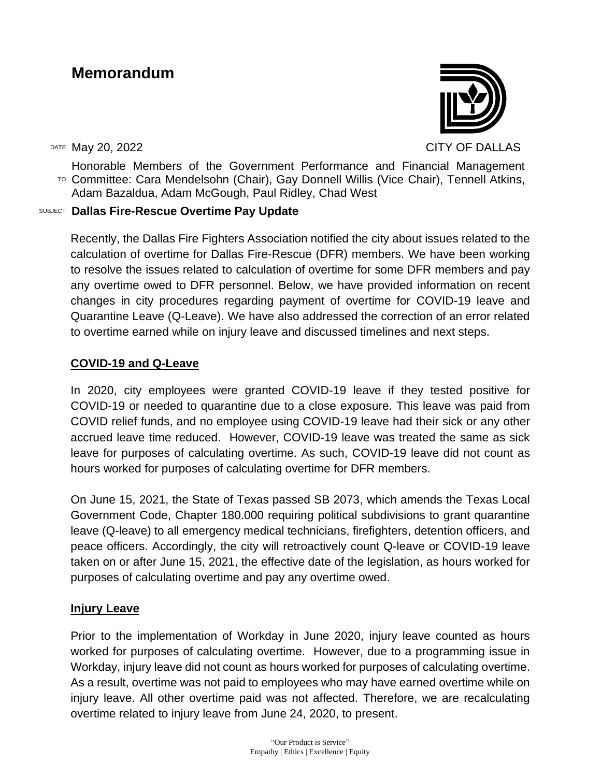# **Memorandum**

DATE May 20, 2022 CITY OF DALLAS

TO Committee: Cara Mendelsohn (Chair), Gay Donnell Willis (Vice Chair), Tennell Atkins, Honorable Members of the Government Performance and Financial Management Adam Bazaldua, Adam McGough, Paul Ridley, Chad West

## SUBJECT **Dallas Fire-Rescue Overtime Pay Update**

Recently, the Dallas Fire Fighters Association notified the city about issues related to the calculation of overtime for Dallas Fire-Rescue (DFR) members. We have been working to resolve the issues related to calculation of overtime for some DFR members and pay any overtime owed to DFR personnel. Below, we have provided information on recent changes in city procedures regarding payment of overtime for COVID-19 leave and Quarantine Leave (Q-Leave). We have also addressed the correction of an error related to overtime earned while on injury leave and discussed timelines and next steps.

# **COVID-19 and Q-Leave**

In 2020, city employees were granted COVID-19 leave if they tested positive for COVID-19 or needed to quarantine due to a close exposure. This leave was paid from COVID relief funds, and no employee using COVID-19 leave had their sick or any other accrued leave time reduced. However, COVID-19 leave was treated the same as sick leave for purposes of calculating overtime. As such, COVID-19 leave did not count as hours worked for purposes of calculating overtime for DFR members.

On June 15, 2021, the State of Texas passed SB 2073, which amends the Texas Local Government Code, Chapter 180.000 requiring political subdivisions to grant quarantine leave (Q-leave) to all emergency medical technicians, firefighters, detention officers, and peace officers. Accordingly, the city will retroactively count Q-leave or COVID-19 leave taken on or after June 15, 2021, the effective date of the legislation, as hours worked for purposes of calculating overtime and pay any overtime owed.

## **Injury Leave**

Prior to the implementation of Workday in June 2020, injury leave counted as hours worked for purposes of calculating overtime. However, due to a programming issue in Workday, injury leave did not count as hours worked for purposes of calculating overtime. As a result, overtime was not paid to employees who may have earned overtime while on injury leave. All other overtime paid was not affected. Therefore, we are recalculating overtime related to injury leave from June 24, 2020, to present.